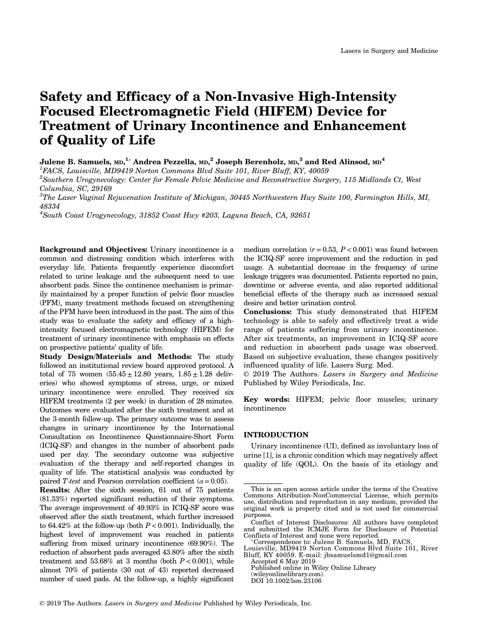# Safety and Efficacy of a Non‐Invasive High‐Intensity Focused Electromagnetic Field (HIFEM) Device for Treatment of Urinary Incontinence and Enhancement of Quality of Life

# Julene B. Samuels, <code>MD, $^{1*}$ </code> Andrea Pezzella, <code>MD, $^{2}$ </code> Joseph Berenholz, <code>MD, $^{3}$ </code> and Red Alinsod, <code>MD $^{4}$ </code>

<sup>1</sup>FACS, Louisville, MD9419 Norton Commons Blvd Suite 101, River Bluff, KY, 40059

 $^2$ Southern Urogynecology: Center for Female Pelvic Medicine and Reconstructive Surgery, 115 Midlands Ct, West Columbia, SC, 29169

 $^3$ The Laser Vaginal Rejuvenation Institute of Michigan, 30445 Northwestern Hwy Suite 100, Farmington Hills, MI, 48334

 $^4$ South Coast Urogynecology, 31852 Coast Hwy #203, Laguna Beach, CA, 92651

Background and Objectives: Urinary incontinence is a common and distressing condition which interferes with everyday life. Patients frequently experience discomfort related to urine leakage and the subsequent need to use absorbent pads. Since the continence mechanism is primarily maintained by a proper function of pelvic floor muscles (PFM), many treatment methods focused on strengthening of the PFM have been introduced in the past. The aim of this study was to evaluate the safety and efficacy of a high‐ intensity focused electromagnetic technology (HIFEM) for treatment of urinary incontinence with emphasis on effects on prospective patients' quality of life.

Study Design/Materials and Methods: The study followed an institutional review board approved protocol. A total of 75 women  $(55.45 \pm 12.80 \text{ years}, 1.85 \pm 1.28 \text{ delivery}$ eries) who showed symptoms of stress, urge, or mixed urinary incontinence were enrolled. They received six HIFEM treatments (2 per week) in duration of 28 minutes. Outcomes were evaluated after the sixth treatment and at the 3‐month follow‐up. The primary outcome was to assess changes in urinary incontinence by the International Consultation on Incontinence Questionnaire‐Short Form (ICIQ‐SF) and changes in the number of absorbent pads used per day. The secondary outcome was subjective evaluation of the therapy and self‐reported changes in quality of life. The statistical analysis was conducted by paired T-test and Pearson correlation coefficient ( $\alpha$  = 0.05).

Results: After the sixth session, 61 out of 75 patients (81.33%) reported significant reduction of their symptoms. The average improvement of 49.93% in ICIQ‐SF score was observed after the sixth treatment, which further increased to 64.42% at the follow-up (both  $P < 0.001$ ). Individually, the highest level of improvement was reached in patients suffering from mixed urinary incontinence (69.90%). The reduction of absorbent pads averaged 43.80% after the sixth treatment and  $53.68\%$  at 3 months (both  $P < 0.001$ ), while almost 70% of patients (30 out of 43) reported decreased number of used pads. At the follow‐up, a highly significant

medium correlation  $(r=0.53, P<0.001)$  was found between the ICIQ‐SF score improvement and the reduction in pad usage. A substantial decrease in the frequency of urine leakage triggers was documented. Patients reported no pain, downtime or adverse events, and also reported additional beneficial effects of the therapy such as increased sexual desire and better urination control.

Conclusions: This study demonstrated that HIFEM technology is able to safely and effectively treat a wide range of patients suffering from urinary incontinence. After six treatments, an improvement in ICIQ‐SF score and reduction in absorbent pads usage was observed. Based on subjective evaluation, these changes positively influenced quality of life. Lasers Surg. Med.

© 2019 The Authors. Lasers in Surgery and Medicine Published by Wiley Periodicals, Inc.

Key words: HIFEM; pelvic floor muscles; urinary incontinence

# INTRODUCTION

Urinary incontinence (UI), defined as involuntary loss of urine [1], is a chronic condition which may negatively affect quality of life (QOL). On the basis of its etiology and

This is an open access article under the terms of the Creative Commons Attribution‐NonCommercial License, which permits use, distribution and reproduction in any medium, provided the original work is properly cited and is not used for commercial purposes.

Conflict of Interest Disclosures: All authors have completed and submitted the ICMJE Form for Disclosure of Potential Conflicts of Interest and none were reported.

<sup>\*</sup>Correspondence to: Julene B. Samuels, MD, FACS, Louisville, MD9419 Norton Commons Blvd Suite 101, River Bluff, KY 40059. E‐mail: jbsamuelsmd1@gmail.com

Accepted 6 May 2019

Published online in Wiley Online Library

<sup>(</sup>wileyonlinelibrary.com).

DOI 10.1002/lsm.23106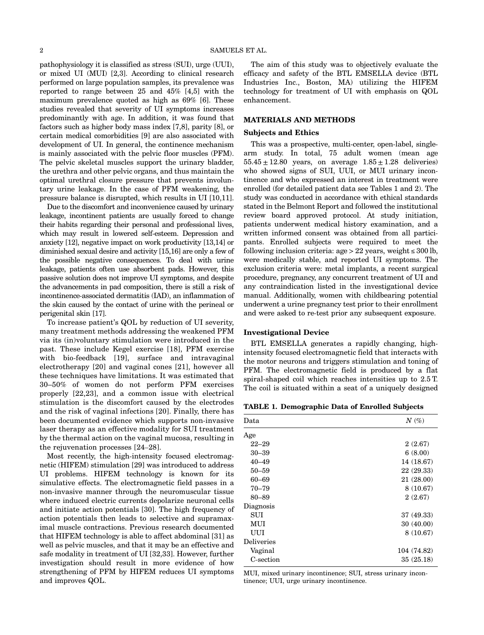pathophysiology it is classified as stress (SUI), urge (UUI), or mixed UI (MUI) [2,3]. According to clinical research performed on large population samples, its prevalence was reported to range between 25 and 45% [4,5] with the maximum prevalence quoted as high as 69% [6]. These studies revealed that severity of UI symptoms increases predominantly with age. In addition, it was found that factors such as higher body mass index [7,8], parity [8], or certain medical comorbidities [9] are also associated with development of UI. In general, the continence mechanism is mainly associated with the pelvic floor muscles (PFM). The pelvic skeletal muscles support the urinary bladder, the urethra and other pelvic organs, and thus maintain the optimal urethral closure pressure that prevents involuntary urine leakage. In the case of PFM weakening, the pressure balance is disrupted, which results in UI [10,11].

Due to the discomfort and inconvenience caused by urinary leakage, incontinent patients are usually forced to change their habits regarding their personal and professional lives, which may result in lowered self‐esteem. Depression and anxiety [12], negative impact on work productivity [13,14] or diminished sexual desire and activity [15,16] are only a few of the possible negative consequences. To deal with urine leakage, patients often use absorbent pads. However, this passive solution does not improve UI symptoms, and despite the advancements in pad composition, there is still a risk of incontinence‐associated dermatitis (IAD), an inflammation of the skin caused by the contact of urine with the perineal or perigenital skin [17].

To increase patient's QOL by reduction of UI severity, many treatment methods addressing the weakened PFM via its (in)voluntary stimulation were introduced in the past. These include Kegel exercise [18], PFM exercise with bio-feedback [19], surface and intravaginal electrotherapy [20] and vaginal cones [21], however all these techniques have limitations. It was estimated that 30–50% of women do not perform PFM exercises properly [22,23], and a common issue with electrical stimulation is the discomfort caused by the electrodes and the risk of vaginal infections [20]. Finally, there has been documented evidence which supports non‐invasive laser therapy as an effective modality for SUI treatment by the thermal action on the vaginal mucosa, resulting in the rejuvenation processes [24–28].

Most recently, the high-intensity focused electromagnetic (HIFEM) stimulation [29] was introduced to address UI problems. HIFEM technology is known for its simulative effects. The electromagnetic field passes in a non‐invasive manner through the neuromuscular tissue where induced electric currents depolarize neuronal cells and initiate action potentials [30]. The high frequency of action potentials then leads to selective and supramaximal muscle contractions. Previous research documented that HIFEM technology is able to affect abdominal [31] as well as pelvic muscles, and that it may be an effective and safe modality in treatment of UI [32,33]. However, further investigation should result in more evidence of how strengthening of PFM by HIFEM reduces UI symptoms and improves QOL.

The aim of this study was to objectively evaluate the efficacy and safety of the BTL EMSELLA device (BTL Industries Inc., Boston, MA) utilizing the HIFEM technology for treatment of UI with emphasis on QOL enhancement.

# MATERIALS AND METHODS

#### Subjects and Ethics

This was a prospective, multi-center, open-label, singlearm study. In total, 75 adult women (mean age  $55.45 \pm 12.80$  years, on average  $1.85 \pm 1.28$  deliveries) who showed signs of SUI, UUI, or MUI urinary incontinence and who expressed an interest in treatment were enrolled (for detailed patient data see Tables 1 and 2). The study was conducted in accordance with ethical standards stated in the Belmont Report and followed the institutional review board approved protocol. At study initiation, patients underwent medical history examination, and a written informed consent was obtained from all participants. Enrolled subjects were required to meet the following inclusion criteria:  $age > 22$  years, weight  $\leq 300$  lb, were medically stable, and reported UI symptoms. The exclusion criteria were: metal implants, a recent surgical procedure, pregnancy, any concurrent treatment of UI and any contraindication listed in the investigational device manual. Additionally, women with childbearing potential underwent a urine pregnancy test prior to their enrollment and were asked to re‐test prior any subsequent exposure.

#### Investigational Device

BTL EMSELLA generates a rapidly changing, high‐ intensity focused electromagnetic field that interacts with the motor neurons and triggers stimulation and toning of PFM. The electromagnetic field is produced by a flat spiral-shaped coil which reaches intensities up to  $2.5$  T. The coil is situated within a seat of a uniquely designed

TABLE 1. Demographic Data of Enrolled Subjects

| Data              | $N(\%)$     |
|-------------------|-------------|
| Age               |             |
| $22 - 29$         | 2(2.67)     |
| $30 - 39$         | 6(8.00)     |
| $40 - 49$         | 14 (18.67)  |
| $50 - 59$         | 22 (29.33)  |
| 60–69             | 21 (28.00)  |
| $70 - 79$         | 8(10.67)    |
| 80-89             | 2(2.67)     |
| Diagnosis         |             |
| SUI               | 37 (49.33)  |
| MUI               | 30(40.00)   |
| UUI               | 8(10.67)    |
| <b>Deliveries</b> |             |
| Vaginal           | 104 (74.82) |
| C-section         | 35(25.18)   |

MUI, mixed urinary incontinence; SUI, stress urinary incontinence; UUI, urge urinary incontinence.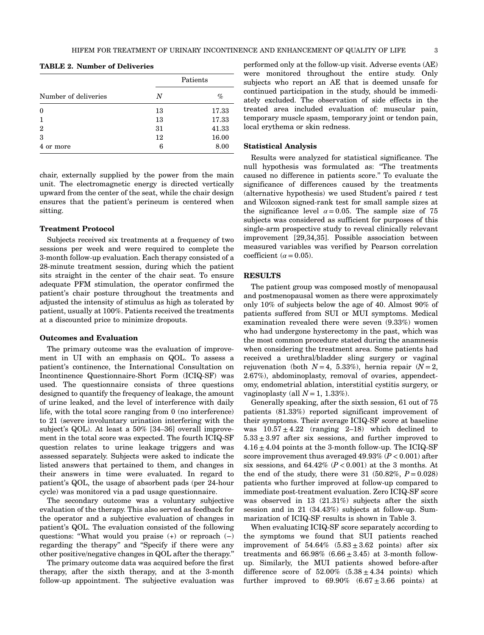| Number of deliveries | Patients |       |  |
|----------------------|----------|-------|--|
|                      | N        | $\%$  |  |
| $\boldsymbol{0}$     | 13       | 17.33 |  |
| $\mathbf{1}$         | 13       | 17.33 |  |
| $\overline{2}$       | 31       | 41.33 |  |
| 3                    | 12       | 16.00 |  |
| 4 or more            | 6        | 8.00  |  |

TABLE 2. Number of Deliveries

chair, externally supplied by the power from the main unit. The electromagnetic energy is directed vertically upward from the center of the seat, while the chair design ensures that the patient's perineum is centered when sitting.

## Treatment Protocol

Subjects received six treatments at a frequency of two sessions per week and were required to complete the 3‐month follow‐up evaluation. Each therapy consisted of a 28‐minute treatment session, during which the patient sits straight in the center of the chair seat. To ensure adequate PFM stimulation, the operator confirmed the patient's chair posture throughout the treatments and adjusted the intensity of stimulus as high as tolerated by patient, usually at 100%. Patients received the treatments at a discounted price to minimize dropouts.

#### Outcomes and Evaluation

The primary outcome was the evaluation of improvement in UI with an emphasis on QOL. To assess a patient's continence, the International Consultation on Incontinence Questionnaire‐Short Form (ICIQ‐SF) was used. The questionnaire consists of three questions designed to quantify the frequency of leakage, the amount of urine leaked, and the level of interference with daily life, with the total score ranging from 0 (no interference) to 21 (severe involuntary urination interfering with the subject's QOL). At least a 50% [34–36] overall improvement in the total score was expected. The fourth ICIQ‐SF question relates to urine leakage triggers and was assessed separately. Subjects were asked to indicate the listed answers that pertained to them, and changes in their answers in time were evaluated. In regard to patient's QOL, the usage of absorbent pads (per 24‐hour cycle) was monitored via a pad usage questionnaire.

The secondary outcome was a voluntary subjective evaluation of the therapy. This also served as feedback for the operator and a subjective evaluation of changes in patient's QOL. The evaluation consisted of the following questions: "What would you praise (+) or reproach (−) regarding the therapy" and "Specify if there were any other positive/negative changes in QOL after the therapy."

The primary outcome data was acquired before the first therapy, after the sixth therapy, and at the 3‐month follow‐up appointment. The subjective evaluation was

performed only at the follow‐up visit. Adverse events (AE) were monitored throughout the entire study. Only subjects who report an AE that is deemed unsafe for continued participation in the study, should be immediately excluded. The observation of side effects in the treated area included evaluation of: muscular pain, temporary muscle spasm, temporary joint or tendon pain, local erythema or skin redness.

# Statistical Analysis

Results were analyzed for statistical significance. The null hypothesis was formulated as: "The treatments caused no difference in patients score." To evaluate the significance of differences caused by the treatments (alternative hypothesis) we used Student's paired  $t$  test and Wilcoxon signed‐rank test for small sample sizes at the significance level  $\alpha = 0.05$ . The sample size of 75 subjects was considered as sufficient for purposes of this single‐arm prospective study to reveal clinically relevant improvement [29,34,35]. Possible association between measured variables was verified by Pearson correlation coefficient ( $\alpha$  = 0.05).

## **RESULTS**

The patient group was composed mostly of menopausal and postmenopausal women as there were approximately only 10% of subjects below the age of 40. Almost 90% of patients suffered from SUI or MUI symptoms. Medical examination revealed there were seven (9.33%) women who had undergone hysterectomy in the past, which was the most common procedure stated during the anamnesis when considering the treatment area. Some patients had received a urethral/bladder sling surgery or vaginal rejuvenation (both  $N=4$ , 5.33%), hernia repair  $(N=2, 1)$ 2.67%), abdominoplasty, removal of ovaries, appendectomy, endometrial ablation, interstitial cystitis surgery, or vaginoplasty (all  $N = 1, 1.33\%$ ).

Generally speaking, after the sixth session, 61 out of 75 patients (81.33%) reported significant improvement of their symptoms. Their average ICIQ‐SF score at baseline was  $10.57 \pm 4.22$  (ranging 2–18) which declined to  $5.33 \pm 3.97$  after six sessions, and further improved to  $4.16 \pm 4.04$  points at the 3-month follow-up. The ICIQ-SF score improvement thus averaged  $49.93\%$   $(P < 0.001)$  after six sessions, and  $64.42\%$   $(P<0.001)$  at the 3 months. At the end of the study, there were 31 (50.82%,  $P = 0.028$ ) patients who further improved at follow‐up compared to immediate post‐treatment evaluation. Zero ICIQ‐SF score was observed in 13 (21.31%) subjects after the sixth session and in 21 (34.43%) subjects at follow-up. Summarization of ICIQ‐SF results is shown in Table 3.

When evaluating ICIQ‐SF score separately according to the symptoms we found that SUI patients reached improvement of  $54.64\%$   $(5.83 \pm 3.62 \text{ points})$  after six treatments and  $66.98\%$   $(6.66 \pm 3.45)$  at 3-month followup. Similarly, the MUI patients showed before‐after difference score of  $52.00\%$   $(5.38 \pm 4.34 \text{ points})$  which further improved to  $69.90\%$   $(6.67 \pm 3.66 \text{ points})$  at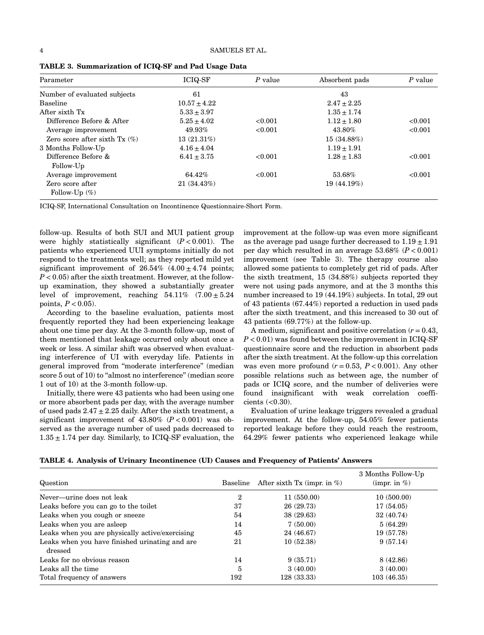| Parameter                            | <b>ICIQ-SF</b>   | P value | Absorbent pads  | P value |
|--------------------------------------|------------------|---------|-----------------|---------|
| Number of evaluated subjects         | 61               |         | 43              |         |
| <b>Baseline</b>                      | $10.57 \pm 4.22$ |         | $2.47 \pm 2.25$ |         |
| After sixth Tx                       | $5.33 \pm 3.97$  |         | $1.35 \pm 1.74$ |         |
| Difference Before & After            | $5.25 \pm 4.02$  | < 0.001 | $1.12 \pm 1.80$ | < 0.001 |
| Average improvement                  | 49.93%           | < 0.001 | 43.80%          | < 0.001 |
| Zero score after sixth $Tx \ (\%)$   | $13(21.31\%)$    |         | 15(34.88%)      |         |
| 3 Months Follow-Up                   | $4.16 + 4.04$    |         | $1.19 + 1.91$   |         |
| Difference Before &                  | $6.41 \pm 3.75$  | <0.001  | $1.28 + 1.83$   | < 0.001 |
| Follow-Up                            |                  |         |                 |         |
| Average improvement                  | 64.42%           | < 0.001 | 53.68%          | < 0.001 |
| Zero score after<br>Follow-Up $(\%)$ | 21(34.43%)       |         | 19(44.19%)      |         |

TABLE 3. Summarization of ICIQ‐SF and Pad Usage Data

ICIQ‐SF, International Consultation on Incontinence Questionnaire‐Short Form.

follow‐up. Results of both SUI and MUI patient group were highly statistically significant  $(P < 0.001)$ . The patients who experienced UUI symptoms initially do not respond to the treatments well; as they reported mild yet significant improvement of  $26.54\%$   $(4.00 \pm 4.74 \text{ points};$  $P < 0.05$ ) after the sixth treatment. However, at the followup examination, they showed a substantially greater level of improvement, reaching  $54.11\%$   $(7.00 \pm 5.24)$ points,  $P < 0.05$ ).

According to the baseline evaluation, patients most frequently reported they had been experiencing leakage about one time per day. At the 3‐month follow‐up, most of them mentioned that leakage occurred only about once a week or less. A similar shift was observed when evaluating interference of UI with everyday life. Patients in general improved from "moderate interference" (median score 5 out of 10) to "almost no interference" (median score 1 out of 10) at the 3‐month follow‐up.

Initially, there were 43 patients who had been using one or more absorbent pads per day, with the average number of used pads  $2.47 \pm 2.25$  daily. After the sixth treatment, a significant improvement of  $43.80\%$  ( $P < 0.001$ ) was observed as the average number of used pads decreased to  $1.35 \pm 1.74$  per day. Similarly, to ICIQ-SF evaluation, the improvement at the follow-up was even more significant as the average pad usage further decreased to  $1.19 + 1.91$ per day which resulted in an average  $53.68\%$  ( $P < 0.001$ ) improvement (see Table 3). The therapy course also allowed some patients to completely get rid of pads. After the sixth treatment, 15 (34.88%) subjects reported they were not using pads anymore, and at the 3 months this number increased to 19 (44.19%) subjects. In total, 29 out of 43 patients (67.44%) reported a reduction in used pads after the sixth treatment, and this increased to 30 out of 43 patients (69.77%) at the follow‐up.

A medium, significant and positive correlation  $(r = 0.43)$ .  $P < 0.01$ ) was found between the improvement in ICIQ-SF questionnaire score and the reduction in absorbent pads after the sixth treatment. At the follow‐up this correlation was even more profound  $(r = 0.53, P < 0.001)$ . Any other possible relations such as between age, the number of pads or ICIQ score, and the number of deliveries were found insignificant with weak correlation coefficients  $( $0.30$ ).$ 

Evaluation of urine leakage triggers revealed a gradual improvement. At the follow‐up, 54.05% fewer patients reported leakage before they could reach the restroom, 64.29% fewer patients who experienced leakage while

| TABLE 4. Analysis of Urinary Incontinence (UI) Causes and Frequency of Patients' Answers |  |  |  |
|------------------------------------------------------------------------------------------|--|--|--|
|------------------------------------------------------------------------------------------|--|--|--|

| Question                                                   | Baseline | After sixth Tx (impr. in $%$ ) | 3 Months Follow-Up<br>(impr. in $\%$ ) |
|------------------------------------------------------------|----------|--------------------------------|----------------------------------------|
| Never—urine does not leak                                  | 2        | 11(550.00)                     | 10(500.00)                             |
| Leaks before you can go to the toilet                      | 37       | 26 (29.73)                     | 17(54.05)                              |
| Leaks when you cough or sneeze                             | 54       | 38 (29.63)                     | 32 (40.74)                             |
| Leaks when you are asleep                                  | 14       | 7(50.00)                       | 5(64.29)                               |
| Leaks when you are physically active/exercising            | 45       | 24 (46.67)                     | 19 (57.78)                             |
| Leaks when you have finished urinating and are.<br>dressed | 21       | 10(52.38)                      | 9(57.14)                               |
| Leaks for no obvious reason                                | 14       | 9(35.71)                       | 8 (42.86)                              |
| Leaks all the time                                         | 5        | 3(40.00)                       | 3(40.00)                               |
| Total frequency of answers                                 | 192      | 128 (33.33)                    | 103(46.35)                             |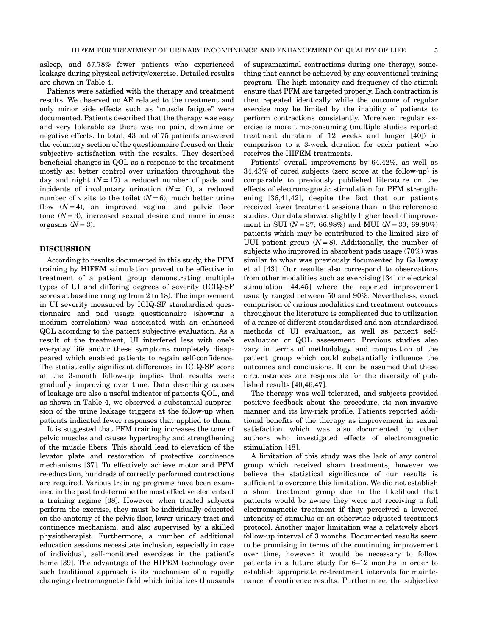asleep, and 57.78% fewer patients who experienced leakage during physical activity/exercise. Detailed results are shown in Table 4.

Patients were satisfied with the therapy and treatment results. We observed no AE related to the treatment and only minor side effects such as "muscle fatigue" were documented. Patients described that the therapy was easy and very tolerable as there was no pain, downtime or negative effects. In total, 43 out of 75 patients answered the voluntary section of the questionnaire focused on their subjective satisfaction with the results. They described beneficial changes in QOL as a response to the treatment mostly as: better control over urination throughout the day and night  $(N = 17)$  a reduced number of pads and incidents of involuntary urination  $(N = 10)$ , a reduced number of visits to the toilet  $(N = 6)$ , much better urine flow  $(N=4)$ , an improved vaginal and pelvic floor tone  $(N=3)$ , increased sexual desire and more intense orgasms  $(N=3)$ .

# DISCUSSION

According to results documented in this study, the PFM training by HIFEM stimulation proved to be effective in treatment of a patient group demonstrating multiple types of UI and differing degrees of severity (ICIQ‐SF scores at baseline ranging from 2 to 18). The improvement in UI severity measured by ICIQ‐SF standardized questionnaire and pad usage questionnaire (showing a medium correlation) was associated with an enhanced QOL according to the patient subjective evaluation. As a result of the treatment, UI interfered less with one's everyday life and/or these symptoms completely disappeared which enabled patients to regain self‐confidence. The statistically significant differences in ICIQ‐SF score at the 3‐month follow‐up implies that results were gradually improving over time. Data describing causes of leakage are also a useful indicator of patients QOL, and as shown in Table 4, we observed a substantial suppression of the urine leakage triggers at the follow‐up when patients indicated fewer responses that applied to them.

It is suggested that PFM training increases the tone of pelvic muscles and causes hypertrophy and strengthening of the muscle fibers. This should lead to elevation of the levator plate and restoration of protective continence mechanisms [37]. To effectively achieve motor and PFM re‐education, hundreds of correctly performed contractions are required. Various training programs have been examined in the past to determine the most effective elements of a training regime [38]. However, when treated subjects perform the exercise, they must be individually educated on the anatomy of the pelvic floor, lower urinary tract and continence mechanism, and also supervised by a skilled physiotherapist. Furthermore, a number of additional education sessions necessitate inclusion, especially in case of individual, self‐monitored exercises in the patient's home [39]. The advantage of the HIFEM technology over such traditional approach is its mechanism of a rapidly changing electromagnetic field which initializes thousands

of supramaximal contractions during one therapy, something that cannot be achieved by any conventional training program. The high intensity and frequency of the stimuli ensure that PFM are targeted properly. Each contraction is then repeated identically while the outcome of regular exercise may be limited by the inability of patients to perform contractions consistently. Moreover, regular exercise is more time‐consuming (multiple studies reported treatment duration of 12 weeks and longer [40]) in comparison to a 3‐week duration for each patient who receives the HIFEM treatments.

Patients' overall improvement by 64.42%, as well as 34.43% of cured subjects (zero score at the follow‐up) is comparable to previously published literature on the effects of electromagnetic stimulation for PFM strengthening [36,41,42], despite the fact that our patients received fewer treatment sessions than in the referenced studies. Our data showed slightly higher level of improvement in SUI ( $N = 37$ ; 66.98%) and MUI ( $N = 30$ ; 69.90%) patients which may be contributed to the limited size of UUI patient group  $(N=8)$ . Additionally, the number of subjects who improved in absorbent pads usage (70%) was similar to what was previously documented by Galloway et al [43]. Our results also correspond to observations from other modalities such as exercising [34] or electrical stimulation [44,45] where the reported improvement usually ranged between 50 and 90%. Nevertheless, exact comparison of various modalities and treatment outcomes throughout the literature is complicated due to utilization of a range of different standardized and non‐standardized methods of UI evaluation, as well as patient self‐ evaluation or QOL assessment. Previous studies also vary in terms of methodology and composition of the patient group which could substantially influence the outcomes and conclusions. It can be assumed that these circumstances are responsible for the diversity of published results [40,46,47].

The therapy was well tolerated, and subjects provided positive feedback about the procedure, its non‐invasive manner and its low‐risk profile. Patients reported additional benefits of the therapy as improvement in sexual satisfaction which was also documented by other authors who investigated effects of electromagnetic stimulation [48].

A limitation of this study was the lack of any control group which received sham treatments, however we believe the statistical significance of our results is sufficient to overcome this limitation. We did not establish a sham treatment group due to the likelihood that patients would be aware they were not receiving a full electromagnetic treatment if they perceived a lowered intensity of stimulus or an otherwise adjusted treatment protocol. Another major limitation was a relatively short follow‐up interval of 3 months. Documented results seem to be promising in terms of the continuing improvement over time, however it would be necessary to follow patients in a future study for 6–12 months in order to establish appropriate re-treatment intervals for maintenance of continence results. Furthermore, the subjective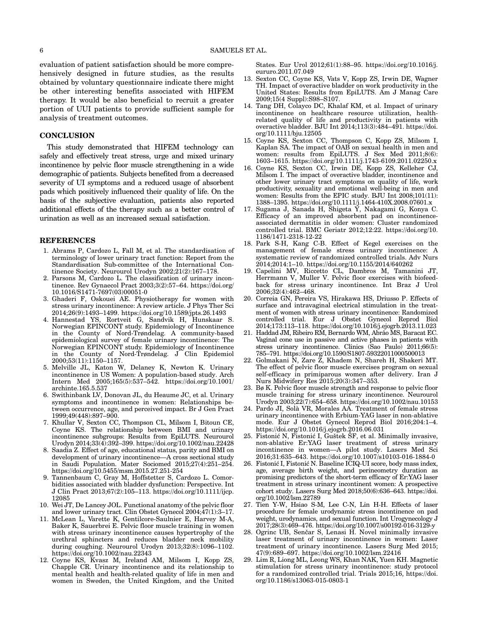evaluation of patient satisfaction should be more comprehensively designed in future studies, as the results obtained by voluntary questionnaire indicate there might be other interesting benefits associated with HIFEM therapy. It would be also beneficial to recruit a greater portion of UUI patients to provide sufficient sample for analysis of treatment outcomes.

## **CONCLUSION**

This study demonstrated that HIFEM technology can safely and effectively treat stress, urge and mixed urinary incontinence by pelvic floor muscle strengthening in a wide demographic of patients. Subjects benefited from a decreased severity of UI symptoms and a reduced usage of absorbent pads which positively influenced their quality of life. On the basis of the subjective evaluation, patients also reported additional effects of the therapy such as a better control of urination as well as an increased sexual satisfaction.

#### REFERENCES

- 1. Abrams P, Cardozo L, Fall M, et al. The standardisation of terminology of lower urinary tract function: Report from the Standardisation Sub‐committee of the International Continence Society. Neurourol Urodyn 2002;21(2):167–178.
- 2. Parsons M, Cardozo L. The classification of urinary incontinence. Rev Gynaecol Pract 2003;3(2):57–64. [https://doi.org/](https://doi.org/10.1016/S1471-7697(03)00051-0) 10.1016/S1471‐[7697\(03\)00051](https://doi.org/10.1016/S1471-7697(03)00051-0)‐0
- 3. Ghaderi F, Oskouei AE. Physiotherapy for women with stress urinary incontinence: A review article. J Phys Ther Sci 2014;26(9):1493–1499.<https://doi.org/10.1589/jpts.26.1493>
- 4. Hannestad YS, Rortveit G, Sandvik H, Hunskaar S. Norwegian EPINCONT study. Epidemiology of Incontinence in the County of Nord‐Trøndelag. A community‐based epidemiological survey of female urinary incontinence: The Norwegian EPINCONT study. Epidemiology of Incontinence in the County of Nord-Trøndelag. J Clin Epidemiol 2000;53(11):1150–1157.
- 5. Melville JL, Katon W, Delaney K, Newton K. Urinary incontinence in US Women: A population‐based study. Arch Intern Med 2005;165(5):537–542. [https://doi.org/10.1001/](https://doi.org/10.1001/archinte.165.5.537) [archinte.165.5.537](https://doi.org/10.1001/archinte.165.5.537)
- 6. Swithinbank LV, Donovan JL, du Heaume JC, et al. Urinary symptoms and incontinence in women: Relationships between occurrence, age, and perceived impact. Br J Gen Pract 1999;49(448):897–900.
- 7. Khullar V, Sexton CC, Thompson CL, Milsom I, Bitoun CE, Coyne KS. The relationship between BMI and urinary incontinence subgroups: Results from EpiLUTS. Neurourol Urodyn 2014;33(4):392–399.<https://doi.org/10.1002/nau.22428>
- 8. Saadia Z. Effect of age, educational status, parity and BMI on development of urinary incontinence—A cross sectional study in Saudi Population. Mater Sociomed 2015;27(4):251–254. [https://doi.org/10.5455/msm.2015.27.251](https://doi.org/10.5455/msm.2015.27.251-254)‐254
- 9. Tannenbaum C, Gray M, Hoffstetter S, Cardozo L. Comorbidities associated with bladder dysfunction: Perspective. Int J Clin Pract 2013;67(2):105–113. [https://doi.org/10.1111/ijcp.](https://doi.org/10.1111/ijcp.12085) [12085](https://doi.org/10.1111/ijcp.12085)
- 10. Wei JT, De Lancey JOL. Functional anatomy of the pelvic floor and lower urinary tract. Clin Obstet Gynecol 2004;47(1):3–17.
- 11. McLean L, Varette K, Gentilcore‐Saulnier E, Harvey M‐A, Baker K, Sauerbrei E. Pelvic floor muscle training in women with stress urinary incontinence causes hypertrophy of the urethral sphincters and reduces bladder neck mobility during coughing. Neurourol Urodyn 2013;32(8):1096–1102. <https://doi.org/10.1002/nau.22343>
- 12. Coyne KS, Kvasz M, Ireland AM, Milsom I, Kopp ZS, Chapple CR. Urinary incontinence and its relationship to mental health and health‐related quality of life in men and women in Sweden, the United Kingdom, and the United

States. Eur Urol 2012;61(1):88–95. [https://doi.org/10.1016/j.](https://doi.org/10.1016/j.eururo.2011.07.049) [eururo.2011.07.049](https://doi.org/10.1016/j.eururo.2011.07.049)

- 13. Sexton CC, Coyne KS, Vats V, Kopp ZS, Irwin DE, Wagner TH. Impact of overactive bladder on work productivity in the United States: Results from EpiLUTS. Am J Manag Care 2009;15(4 Suppl):S98–S107.
- 14. Tang DH, Colayco DC, Khalaf KM, et al. Impact of urinary incontinence on healthcare resource utilization, healthrelated quality of life and productivity in patients with overactive bladder. BJU Int 2014;113(3):484–491. [https://doi.](https://doi.org/10.1111/bju.12505) [org/10.1111/bju.12505](https://doi.org/10.1111/bju.12505)
- 15. Coyne KS, Sexton CC, Thompson C, Kopp ZS, Milsom I, Kaplan SA. The impact of OAB on sexual health in men and women: results from EpiLUTS. J Sex Med 2011;8(6): 1603–1615. [https://doi.org/10.1111/j.1743](https://doi.org/10.1111/j.1743-6109.2011.02250.x)‐6109.2011.02250.x
- 16. Coyne KS, Sexton CC, Irwin DE, Kopp ZS, Kelleher CJ, Milsom I. The impact of overactive bladder, incontinence and other lower urinary tract symptoms on quality of life, work productivity, sexuality and emotional well‐being in men and women: Results from the EPIC study. BJU Int 2008;101(11): 1388–1395. [https://doi.org/10.1111/j.1464](https://doi.org/10.1111/j.1464-410X.2008.07601.x)‐410X.2008.07601.x
- 17. Sugama J, Sanada H, Shigeta Y, Nakagami G, Konya C. Efficacy of an improved absorbent pad on incontinence‐ associated dermatitis in older women: Cluster randomized controlled trial. BMC Geriatr 2012;12:22. [https://doi.org/10.](https://doi.org/10.1186/1471-2318-12-22) [1186/1471](https://doi.org/10.1186/1471-2318-12-22)‐2318‐12‐22
- 18. Park S‐H, Kang C‐B. Effect of Kegel exercises on the management of female stress urinary incontinence: A systematic review of randomized controlled trials. Adv Nurs 2014;2014:1–10.<https://doi.org/10.1155/2014/640262>
- 19. Capelini MV, Riccetto CL, Dambros M, Tamanini JT, Herrmann V, Muller V. Pelvic floor exercises with biofeedback for stress urinary incontinence. Int Braz J Urol 2006;32(4):462–468.
- 20. Correia GN, Pereira VS, Hirakawa HS, Driusso P. Effects of surface and intravaginal electrical stimulation in the treatment of women with stress urinary incontinence: Randomized controlled trial. Eur J Obstet Gynecol Reprod Biol 2014;173:113–118.<https://doi.org/10.1016/j.ejogrb.2013.11.023>
- 21. Haddad JM, Ribeiro RM, Bernardo WM, Abrão MS, Baracat EC. Vaginal cone use in passive and active phases in patients with stress urinary incontinence. Clinics (Sao Paulo) 2011;66(5): 785–791. [https://doi.org/10.1590/S1807](https://doi.org/10.1590/S1807-59322011000500013)‐59322011000500013
- 22. Golmakani N, Zare Z, Khadem N, Shareh H, Shakeri MT. The effect of pelvic floor muscle exercises program on sexual self‐efficacy in primiparous women after delivery. Iran J Nurs Midwifery Res 2015;20(3):347–353.
- 23. Bø K. Pelvic floor muscle strength and response to pelvic floor muscle training for stress urinary incontinence. Neurourol Urodyn 2003;22(7):654–658.<https://doi.org/10.1002/nau.10153>
- 24. Pardo JI, Solà VR, Morales AA. Treatment of female stress urinary incontinence with Erbium‐YAG laser in non‐ablative mode. Eur J Obstet Gynecol Reprod Biol 2016;204:1–4. <https://doi.org/10.1016/j.ejogrb.2016.06.031>
- 25. Fistonić N, Fistonić I, Guštek ŠF, et al. Minimally invasive, non‐ablative Er:YAG laser treatment of stress urinary incontinence in women—A pilot study. Lasers Med Sci 2016;31:635–643. [https://doi.org/10.1007/s10103](https://doi.org/10.1007/s10103-016-1884-0)‐016‐1884‐0
- 26. Fistonić I, Fistonić N. Baseline ICIQ‐UI score, body mass index, age, average birth weight, and perineometry duration as promising predictors of the short‐term efficacy of Er:YAG laser treatment in stress urinary incontinent women: A prospective cohort study. Lasers Surg Med 2018;50(6):636–643. [https://doi.](https://doi.org/10.1002/lsm.22789) [org/10.1002/lsm.22789](https://doi.org/10.1002/lsm.22789)
- 27. Tien Y‐W, Hsiao S‐M, Lee C‐N, Lin H‐H. Effects of laser procedure for female urodynamic stress incontinence on pad weight, urodynamics, and sexual function. Int Urogynecology J 2017;28(3):469–476. [https://doi.org/10.1007/s00192](https://doi.org/10.1007/s00192-016-3129-y)‐016‐3129‐y
- 28. Ogrinc UB, Senčar S, Lenasi H. Novel minimally invasive laser treatment of urinary incontinence in women: Laser treatment of urinary incontinence. Lasers Surg Med 2015; 47(9):689–697.<https://doi.org/10.1002/lsm.22416>
- 29. Lim R, Liong ML, Leong WS, Khan NAK, Yuen KH. Magnetic stimulation for stress urinary incontinence: study protocol for a randomized controlled trial. Trials 2015;16, [https://doi.](https://doi.org/10.1186/s13063-015-0803-1) [org/10.1186/s13063](https://doi.org/10.1186/s13063-015-0803-1)‐015‐0803‐1